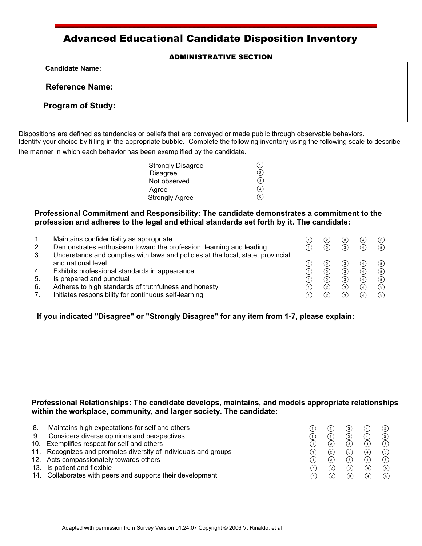# Advanced Educational Candidate Disposition Inventory

#### ADMINISTRATIVE SECTION

 **Candidate Name:** 

 **Reference Name:** 

**Program of Study:**

Dispositions are defined as tendencies or beliefs that are conveyed or made public through observable behaviors. Identify your choice by filling in the appropriate bubble. Complete the following inventory using the following scale to describe the manner in which each behavior has been exemplified by the candidate.

| <b>Strongly Disagree</b> |        |
|--------------------------|--------|
| <b>Disagree</b>          | $'$ 2. |
| Not observed             | (з`    |
| Agree                    | 4      |
| <b>Strongly Agree</b>    | f 5    |

### **Professional Commitment and Responsibility: The candidate demonstrates a commitment to the profession and adheres to the legal and ethical standards set forth by it. The candidate:**

| 1. | Maintains confidentiality as appropriate                                        | $^{(2)}$      | $\mathbf{3}$     | (4) | (5)                                |
|----|---------------------------------------------------------------------------------|---------------|------------------|-----|------------------------------------|
| 2. | Demonstrates enthusiasm toward the profession, learning and leading             | ᢙ             | ര                | ᢙ   | $\circ$                            |
| 3. | Understands and complies with laws and policies at the local, state, provincial |               |                  |     |                                    |
|    | and national level                                                              | $^{(2)}$      | $\left(3\right)$ | (4) | $\circled{\scriptstyle\textrm{s}}$ |
| 4. | Exhibits professional standards in appearance                                   | ②             | ⊚                | ᢙ   | $\circledg$                        |
| 5. | Is prepared and punctual                                                        | $\circled{2}$ | ③                | ④   | $\odot$                            |
| 6. | Adheres to high standards of truthfulness and honesty                           | $^{(2)}$      | ര                | (4) | $\circ$                            |
|    | Initiates responsibility for continuous self-learning                           | $^{(2)}$      | ᢙ                |     | $\circledg$                        |

**If you indicated "Disagree" or "Strongly Disagree" for any item from 1-7, please explain:**

#### **Professional Relationships: The candidate develops, maintains, and models appropriate relationships within the workplace, community, and larger society. The candidate:**

| 8. | Maintains high expectations for self and others                 | (2)               | $\left(3\right)$ | (4)            | (5)           |
|----|-----------------------------------------------------------------|-------------------|------------------|----------------|---------------|
| 9. | Considers diverse opinions and perspectives                     | 2                 | 3)               |                | $\circ$       |
|    | 10. Exemplifies respect for self and others                     | $^{(2)}$          | ര                |                | $\circ$       |
|    | 11. Recognizes and promotes diversity of individuals and groups | 2                 | 3)               | $\overline{4}$ | (5)           |
|    | 12. Acts compassionately towards others                         | ᢙ                 | ᢙ                |                | (5)           |
|    | 13. Is patient and flexible                                     | $\left( 2\right)$ | ᢙ                | $\sqrt{4}$     | (5)           |
|    | 14. Collaborates with peers and supports their development      | $\Omega$          | ?                |                | $\circled{5}$ |